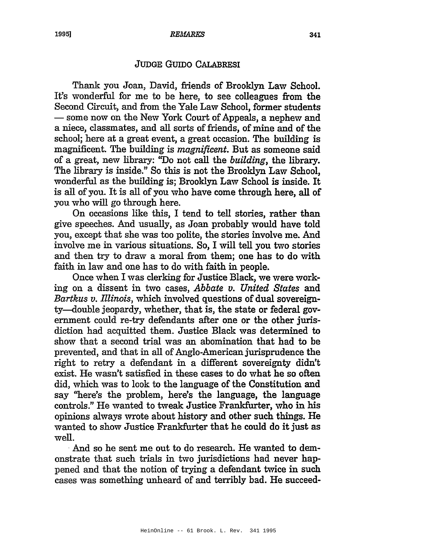## JUDGE GUIDO CALABRESI

Thank you Joan, David, friends of Brooklyn Law School. It's wonderful for me to be here, to see colleagues from the Second Circuit, and from the Yale Law School, former students - some now on the New York Court of Appeals, a nephew and a niece, classmates, and all sorts of friends, of mine and of the school; here at a great event, a great occasion. The building is magnificent. The building is *magnificent.* But as someone said of a great, new library: "Do not call the *building,* the library. The library is inside." So this is not the Brooklyn Law School, wonderful as the building is; Brooklyn Law School is inside. It is all of you. It is all of you who have come through here, all of you who will go through here.

On occasions like this, I tend to tell stories, rather than give speeches. And usually, as Joan probably would have told you, except that she was too polite, the stories involve me. And involve me in various situations. So, I will tell you two stories and then try to draw a moral from them; one has to do with faith in law and one has to do with faith in people.

Once when I was clerking for Justice Black, we were working on a dissent in two cases, *Abbate v. United States* and *Bartkus v. Illinois,* which involved questions of dual sovereignty-double jeopardy, whether, that is, the state or federal government could re-try defendants after one or the other jurisdiction had acquitted them. Justice Black was determined to show that a second trial was an abomination that had to be prevented, and that in all of Anglo-American jurisprudence the right to retry a defendant in a different sovereignty didn't exist. He wasn't satisfied in these cases to do what he so often did, which was to look to the language of the Constitution and say "here's the problem, here's the language, the language controls." He wanted to tweak Justice Frankfurter, who in his opinions always wrote about history and other such things. He wanted to show Justice Frankfurter that he could do it just as well.

. And so he sent me out to do research. He wanted to demonstrate that such trials in two jurisdictions had never happened and that the notion of trying a defendant twice in such cases was something unheard of and terribly bad. He succeed-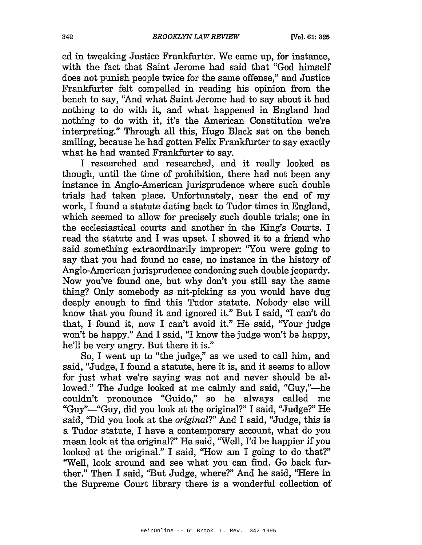ed in tweaking Justice Frankfurter. We came up, for instance, with the fact that Saint Jerome had said that "God himself does not punish people twice for the same offense," and Justice Frankfurter felt compelled in reading his opinion from the bench to say, "And what Saint Jerome had to say about it had nothing to do with it, and what happened in England had nothing to do with it, it's the American Constitution we're interpreting." Through all this, Hugo Black sat on the bench smiling, because he had gotten Felix Frankfurter to say exactly what he had wanted Frankfurter to say.

I researched and researched, and it really looked as though, until the time of prohibition, there had not been any instance in Anglo-American jurisprudence where such double trials had taken place. Unfortunately, near the end of my work, I found a statute dating back to Tudor times in England, which seemed to allow for precisely such double trials; one in the ecclesiastical courts and another in the King's Courts. I read the statute and I was upset. I showed it to a friend who said something extraordinarily improper: "You were going to say that you had found no case, no instance in the history of Anglo-American jurisprudence condoning such double jeopardy. Now you've found one, but why don't you still say the same thing? Only somebody as nit-picking as you would have dug deeply enough to find this Tudor statute. Nobody else will know that you found it and ignored it." But I said, "I can't do that, I found it, now I can't avoid it." He said, ''Your judge won't be happy." And I said, "I know the judge won't be happy, he'll be very angry. But there it is."

So, I went up to "the judge," as we used to call him, and said, "Judge, I found a statute, here it is, and it seems to allow for just what we're saying was not and never should be allowed." The Judge looked at me calmly and said, "Guy,"-he couldn't pronounce "Guido," so he always called me "Guy"—"Guy, did you look at the original?" I said, "Judge?" He said, "Did you look at the *original?"* And I said, "Judge, this is a Tudor statute, I have a contemporary account, what do you mean look at the original?" He said, "Well, fd be happier if you looked at the original." I said, "How am I going to do that?" "Well, look around and see what you can find. Go back further." Then I said, "But Judge, where?" And he said, ''Here in the Supreme Court library there is a wonderful collection of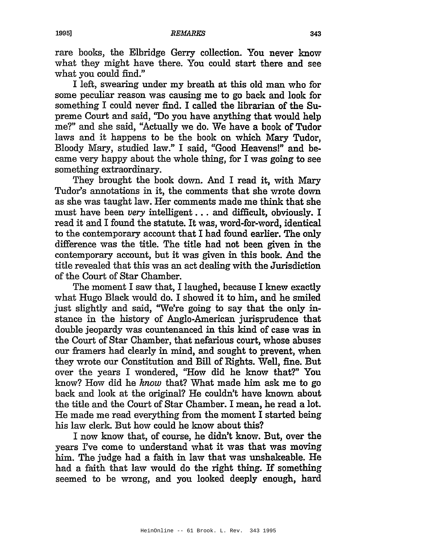rare books, the Elbridge Gerry collection. You never know what they might have there. You could start there and see what you could find."

I left, swearing under my breath at this old man who for some peculiar reason was causing me to go back and look for something I could never find. I called the librarian of the Supreme Court and said, ''Do you have anything that would help me?" and she said, "Actually we do. We have a book of Tudor laws and it happens to be the book on which Mary Tudor, Bloody Mary, studied law." I said, "Good Heavens!" and became very happy about the whole thing, for I was going to see something extraordinary.

They brought the book down. And I read it, with Mary Tudor's annotations in it, the comments that she wrote down as she was taught law. Her comments made me think that she must have been *very* intelligent ... and difficult, obviously. <sup>I</sup> read it and I found the statute. It was, word-for-word, identical to the contemporary account that I had found earlier. The only difference was the title. The title had not been given in the contemporary account, but it was given in this book. And the title revealed that this was an act dealing with the Jurisdiction of the Court of Star Chamber.

The moment I saw that, I laughed, because I knew exactly what Hugo Black would do. I showed it to him, and he smiled just slightly and said, "We're going to say that the only instance in the history of Anglo-American jurisprudence that double jeopardy was countenanced in this kind of case was in the Court of Star Chamber, that nefarious court, whose abuses our framers had clearly in mind, and sought to prevent, when they wrote our Constitution and Bill of Rights. Well, fine. But over the years I wondered, "How did he know that?" You know? How did he *know* that? What made him ask me to go back and look at the original? He couldn't have known about the title and the Court of Star Chamber. I mean, he read a lot. He made me read everything from the moment I started being his law clerk. But how could he know about this?

I now know that, of course, he didn't know. But, over the years I've come to understand what it was that was moving him. The judge had a faith in law that was unshakeable. He had <sup>a</sup> faith that law would do the right thing. If something seemed to be wrong, and you looked deeply enough, hard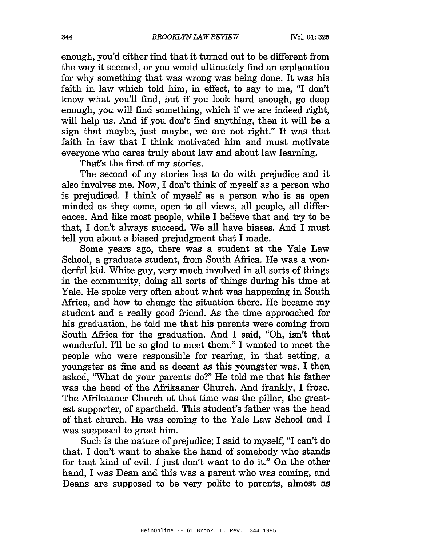enough, you'd either find that it turned out to be different from the way it seemed, or you would ultimately find an explanation for why something that was wrong was being done. It was his faith in law which told him, in effect, to say to me, "I don't know what you'll find, but if you look hard enough, go deep enough, you will find something, which if we are indeed right, will help us. And if you don't find anything, then it will be a sign that maybe, just maybe, we are not right." It was that faith in law that I think motivated him and must motivate everyone who cares truly about law and about law learning.

That's the first of my stories.

The second of my stories has to do with prejudice and it also involves me. Now, I don't think of myself as a person who is prejudiced. I think of myself as a person who is as open minded as they come, open to all views, all people, all differences. And like most people, while I believe that and try to be that, I don't always succeed. We all have biases. And I must tell you about a biased prejudgment that I made.

Some years ago, there was a student at the Yale Law School, a graduate student, from South Africa. He was a wonderful kid. White guy, very much involved in all sorts of things in the community, doing all sorts of things during his time at Yale. He spoke very often about what was happening in South Africa, and how to change the situation there. He became my student and a really good friend. As the time approached for his graduation, he told me that his parents were coming from South Africa for the graduation. And I said, "Oh, isn't that wonderful. I'll be so glad to meet them." I wanted to meet the people who were responsible for rearing, in that setting, a youngster as fine and as decent as this youngster was. I then asked, "What do your parents do?" He told me that his father was the head of the Afrikaaner Church. And frankly, I froze. The Mrikaaner Church at that time was the pillar, the greatest supporter, of apartheid. This student's father was the head of that church. He was coming to the Yale Law School and I was supposed to greet him.

Such is the nature of prejudice; I said to myself, "I can't do that. I don't want to shake the hand of somebody who stands for that kind of evil. I just don't want to do it." On the other hand, I was Dean and this was a parent who was coming, and Deans are supposed to be very polite to parents, almost as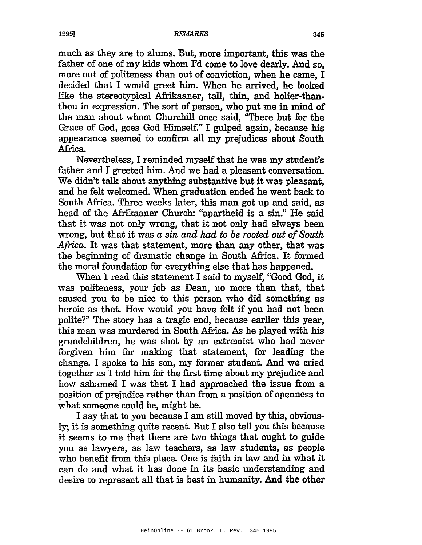## $\sim$  1995] REMARKS 345  $\sim$  345

much as they are to alums. But, more important, this was the father of one of my kids whom I'd come to love dearly. And so, more out of politeness than out of conviction, when he came, I decided that I would greet him. When he arrived, he looked like the stereotypical Afrikaaner, tall, thin, and holier-thanthou in expression. The sort of person, who put me in mind of the man about whom Churchill once said, "There but for the Grace of God, goes God Himself." I gulped again, because his appearance seemed to confirm all my prejudices about South Africa.

Nevertheless, I reminded myself that he was my student's father and I greeted him. And we had a pleasant conversation. We didn't talk about anything substantive but it was pleasant, and he felt welcomed. When graduation ended he went back to South Africa. Three weeks later, this man got up and said, as head of the Afrikaaner Church: "apartheid is a sin." He said that it was not only wrong, that it not only had always been wrong, but that it was a *sin and had to be rooted out of South* Africa. It was that statement, more than any other, that was the beginning of dramatic change in South Africa. It formed the moral foundation for everything else that has happened.

When I read this statement I said to myself, "Good God, it was politeness, your job as Dean, no more than that, that caused you to be nice to this person who did something as heroic as that. How would you have felt if you had not been polite?" The story has a tragic end, because earlier this year, this man was murdered in South Africa. As he played with his grandchildren, he was shot by an extremist who had never forgiven him for making that statement, for leading the change. I spoke to his son, my former student. And we cried together as I told him for the first time about my prejudice and how ashamed I was that I had approached the issue from a position of prejudice rather than from a position of openness to what someone could be, might be.

I say that to you because I am still moved by this, obviously; it is something quite recent. But I also tell you this because it seems to me that there are two things that ought to guide you as lawYers, as law teachers, as law students, as people who benefit from this place. One is faith in law and in what it can do and what it has done in its basic understanding and desire to represent all that is best in humanity. And the other